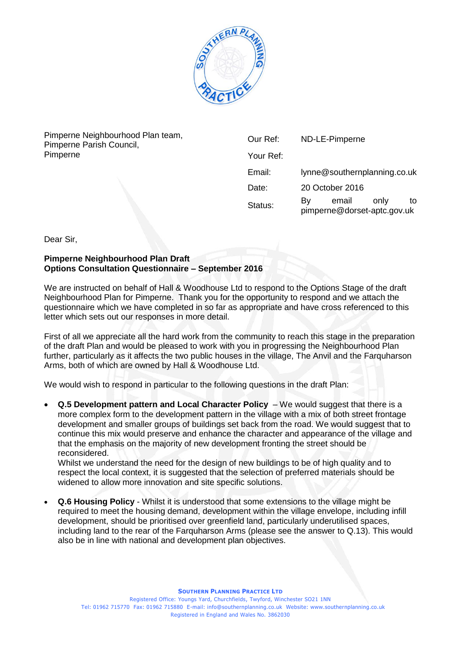

Pimperne Neighbourhood Plan team, Pimperne Parish Council, Pimperne

| Our Ref:  | ND-LE-Pimperne                             |            |
|-----------|--------------------------------------------|------------|
| Your Ref: |                                            |            |
| Email:    | lynne@southernplanning.co.uk               |            |
| Date:     | 20 October 2016                            |            |
| Status:   | email<br>By<br>pimperne@dorset-aptc.gov.uk | only<br>to |

Dear Sir,

## **Pimperne Neighbourhood Plan Draft Options Consultation Questionnaire – September 2016**

We are instructed on behalf of Hall & Woodhouse Ltd to respond to the Options Stage of the draft Neighbourhood Plan for Pimperne. Thank you for the opportunity to respond and we attach the questionnaire which we have completed in so far as appropriate and have cross referenced to this letter which sets out our responses in more detail.

First of all we appreciate all the hard work from the community to reach this stage in the preparation of the draft Plan and would be pleased to work with you in progressing the Neighbourhood Plan further, particularly as it affects the two public houses in the village, The Anvil and the Farquharson Arms, both of which are owned by Hall & Woodhouse Ltd.

We would wish to respond in particular to the following questions in the draft Plan:

 **Q.5 Development pattern and Local Character Policy** – We would suggest that there is a more complex form to the development pattern in the village with a mix of both street frontage development and smaller groups of buildings set back from the road. We would suggest that to continue this mix would preserve and enhance the character and appearance of the village and that the emphasis on the majority of new development fronting the street should be reconsidered.

Whilst we understand the need for the design of new buildings to be of high quality and to respect the local context, it is suggested that the selection of preferred materials should be widened to allow more innovation and site specific solutions.

 **Q.6 Housing Policy** - Whilst it is understood that some extensions to the village might be required to meet the housing demand, development within the village envelope, including infill development, should be prioritised over greenfield land, particularly underutilised spaces, including land to the rear of the Farquharson Arms (please see the answer to Q.13). This would also be in line with national and development plan objectives.

**SOUTHERN PLANNING PRACTICE LTD**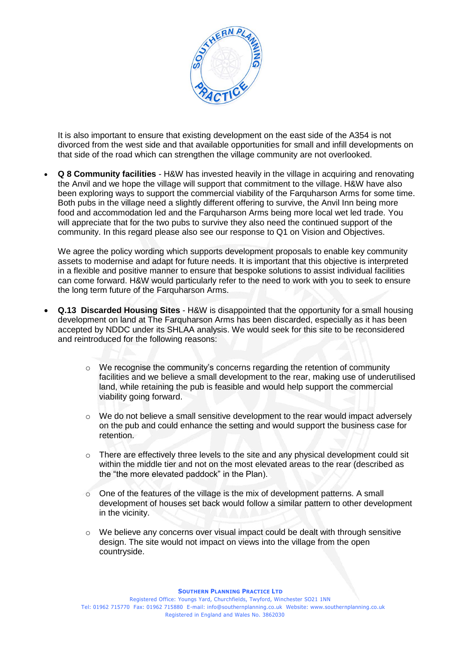

It is also important to ensure that existing development on the east side of the A354 is not divorced from the west side and that available opportunities for small and infill developments on that side of the road which can strengthen the village community are not overlooked.

 **Q 8 Community facilities** - H&W has invested heavily in the village in acquiring and renovating the Anvil and we hope the village will support that commitment to the village. H&W have also been exploring ways to support the commercial viability of the Farquharson Arms for some time. Both pubs in the village need a slightly different offering to survive, the Anvil Inn being more food and accommodation led and the Farquharson Arms being more local wet led trade. You will appreciate that for the two pubs to survive they also need the continued support of the community. In this regard please also see our response to Q1 on Vision and Objectives.

We agree the policy wording which supports development proposals to enable key community assets to modernise and adapt for future needs. It is important that this objective is interpreted in a flexible and positive manner to ensure that bespoke solutions to assist individual facilities can come forward. H&W would particularly refer to the need to work with you to seek to ensure the long term future of the Farquharson Arms.

- **Q.13 Discarded Housing Sites** H&W is disappointed that the opportunity for a small housing development on land at The Farquharson Arms has been discarded, especially as it has been accepted by NDDC under its SHLAA analysis. We would seek for this site to be reconsidered and reintroduced for the following reasons:
	- $\circ$  We recognise the community's concerns regarding the retention of community facilities and we believe a small development to the rear, making use of underutilised land, while retaining the pub is feasible and would help support the commercial viability going forward.
	- o We do not believe a small sensitive development to the rear would impact adversely on the pub and could enhance the setting and would support the business case for retention.
	- o There are effectively three levels to the site and any physical development could sit within the middle tier and not on the most elevated areas to the rear (described as the "the more elevated paddock" in the Plan).
	- $\circ$  One of the features of the village is the mix of development patterns. A small development of houses set back would follow a similar pattern to other development in the vicinity.
	- $\circ$  We believe any concerns over visual impact could be dealt with through sensitive design. The site would not impact on views into the village from the open countryside.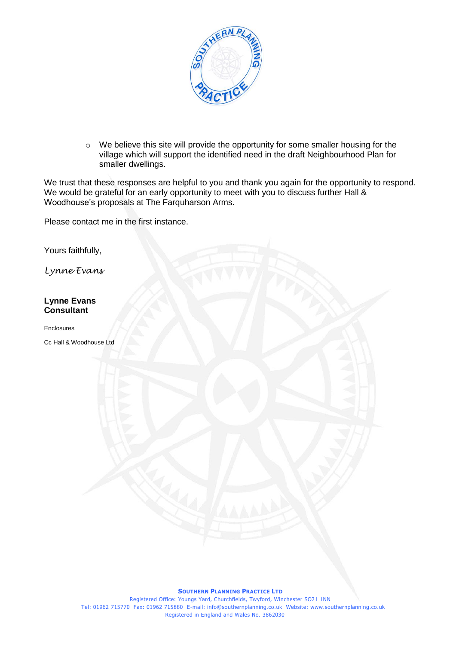

o We believe this site will provide the opportunity for some smaller housing for the village which will support the identified need in the draft Neighbourhood Plan for smaller dwellings.

We trust that these responses are helpful to you and thank you again for the opportunity to respond. We would be grateful for an early opportunity to meet with you to discuss further Hall & Woodhouse's proposals at The Farquharson Arms.

Please contact me in the first instance.

Yours faithfully,

*Lynne Evans*

## **Lynne Evans Consultant**

Enclosures

Cc Hall & Woodhouse Ltd

## **SOUTHERN PLANNING PRACTICE LTD**

Registered Office: Youngs Yard, Churchfields, Twyford, Winchester SO21 1NN Tel: 01962 715770 Fax: 01962 715880 E-mail: info@southernplanning.co.uk Website: www.southernplanning.co.uk Registered in England and Wales No. 3862030